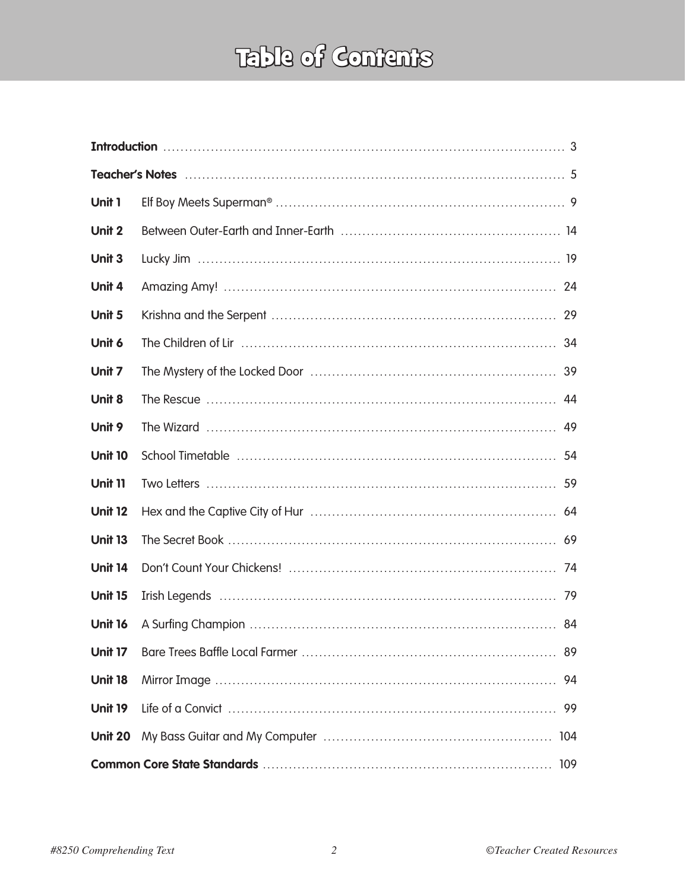## Table of Contents

| Unit 1         |                                    |     |
|----------------|------------------------------------|-----|
| Unit 2         |                                    |     |
| Unit 3         |                                    |     |
| Unit 4         |                                    |     |
| Unit 5         |                                    |     |
| Unit 6         |                                    |     |
| Unit 7         |                                    |     |
| Unit 8         |                                    |     |
| Unit 9         |                                    |     |
| <b>Unit 10</b> |                                    |     |
| <b>Unit 11</b> |                                    |     |
| <b>Unit 12</b> |                                    |     |
| <b>Unit 13</b> |                                    |     |
| <b>Unit 14</b> |                                    |     |
| <b>Unit 15</b> |                                    |     |
| <b>Unit 16</b> |                                    |     |
| <b>Unit 17</b> |                                    | 89  |
| <b>Unit 18</b> |                                    | 94  |
| <b>Unit 19</b> |                                    | 99  |
| <b>Unit 20</b> |                                    | 104 |
|                | <b>Common Core State Standards</b> | 109 |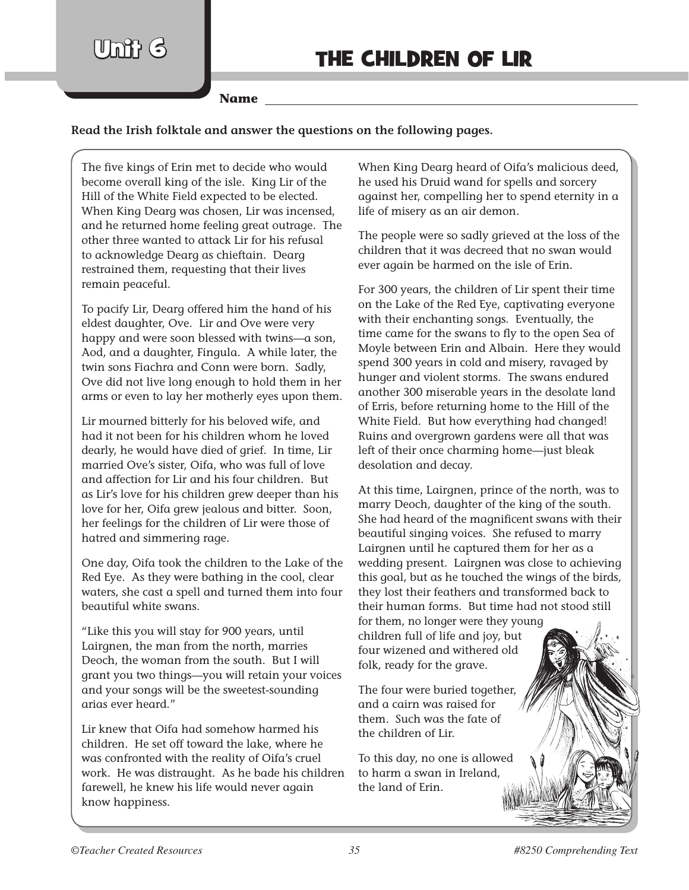**Name**

**Read the Irish folktale and answer the questions on the following pages.**

The five kings of Erin met to decide who would become overall king of the isle. King Lir of the Hill of the White Field expected to be elected. When King Dearg was chosen, Lir was incensed, and he returned home feeling great outrage. The other three wanted to attack Lir for his refusal to acknowledge Dearg as chieftain. Dearg restrained them, requesting that their lives remain peaceful.

To pacify Lir, Dearg offered him the hand of his eldest daughter, Ove. Lir and Ove were very happy and were soon blessed with twins—a son, Aod, and a daughter, Fingula. A while later, the twin sons Fiachra and Conn were born. Sadly, Ove did not live long enough to hold them in her arms or even to lay her motherly eyes upon them.

Lir mourned bitterly for his beloved wife, and had it not been for his children whom he loved dearly, he would have died of grief. In time, Lir married Ove's sister, Oifa, who was full of love and affection for Lir and his four children. But as Lir's love for his children grew deeper than his love for her, Oifa grew jealous and bitter. Soon, her feelings for the children of Lir were those of hatred and simmering rage.

One day, Oifa took the children to the Lake of the Red Eye. As they were bathing in the cool, clear waters, she cast a spell and turned them into four beautiful white swans.

"Like this you will stay for 900 years, until Lairgnen, the man from the north, marries Deoch, the woman from the south. But I will grant you two things—you will retain your voices and your songs will be the sweetest-sounding arias ever heard."

Lir knew that Oifa had somehow harmed his children. He set off toward the lake, where he was confronted with the reality of Oifa's cruel work. He was distraught. As he bade his children farewell, he knew his life would never again know happiness.

When King Dearg heard of Oifa's malicious deed, he used his Druid wand for spells and sorcery against her, compelling her to spend eternity in a life of misery as an air demon.

The people were so sadly grieved at the loss of the children that it was decreed that no swan would ever again be harmed on the isle of Erin.

For 300 years, the children of Lir spent their time on the Lake of the Red Eye, captivating everyone with their enchanting songs. Eventually, the time came for the swans to fly to the open Sea of Moyle between Erin and Albain. Here they would spend 300 years in cold and misery, ravaged by hunger and violent storms. The swans endured another 300 miserable years in the desolate land of Erris, before returning home to the Hill of the White Field. But how everything had changed! Ruins and overgrown gardens were all that was left of their once charming home—just bleak desolation and decay.

At this time, Lairgnen, prince of the north, was to marry Deoch, daughter of the king of the south. She had heard of the magnificent swans with their beautiful singing voices. She refused to marry Lairgnen until he captured them for her as a wedding present. Lairgnen was close to achieving this goal, but as he touched the wings of the birds, they lost their feathers and transformed back to their human forms. But time had not stood still

for them, no longer were they young children full of life and joy, but four wizened and withered old folk, ready for the grave.

The four were buried together, and a cairn was raised for them. Such was the fate of the children of Lir.

To this day, no one is allowed to harm a swan in Ireland, the land of Erin.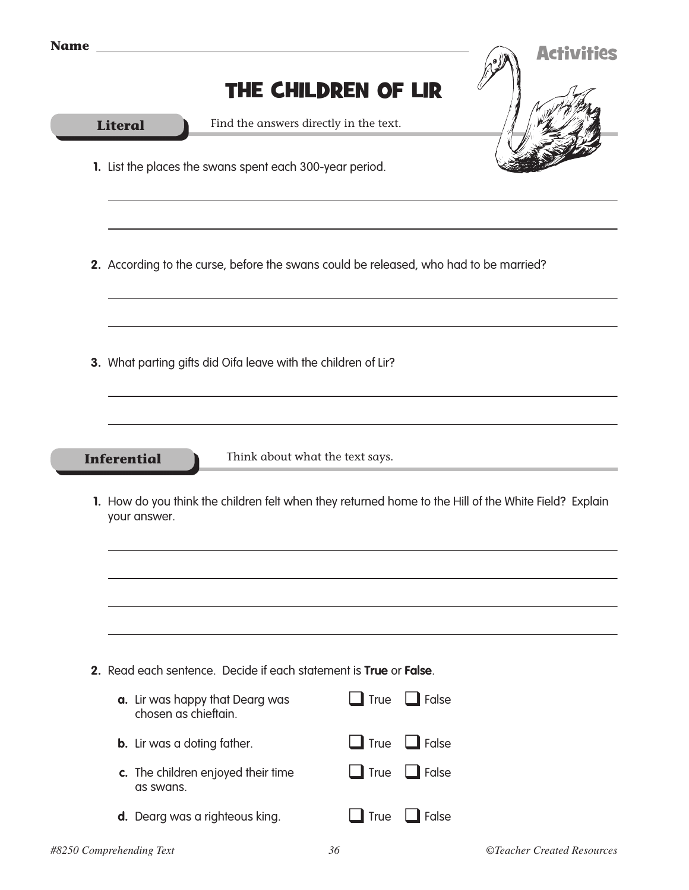| <b>Name</b> |                                    |                                                                                                                                          |                     |              | <b>Activities</b> |
|-------------|------------------------------------|------------------------------------------------------------------------------------------------------------------------------------------|---------------------|--------------|-------------------|
|             |                                    | THE CHILDREN OF LIR                                                                                                                      |                     |              |                   |
|             | <b>Literal</b>                     | Find the answers directly in the text.                                                                                                   |                     |              |                   |
|             |                                    | 1. List the places the swans spent each 300-year period.                                                                                 |                     |              |                   |
|             |                                    | 2. According to the curse, before the swans could be released, who had to be married?                                                    |                     |              |                   |
|             |                                    | 3. What parting gifts did Oifa leave with the children of Lir?                                                                           |                     |              |                   |
|             | <b>Inferential</b><br>your answer. | Think about what the text says.<br>1. How do you think the children felt when they returned home to the Hill of the White Field? Explain |                     |              |                   |
|             |                                    |                                                                                                                                          |                     |              |                   |
|             |                                    | 2. Read each sentence. Decide if each statement is True or False.                                                                        |                     |              |                   |
|             | chosen as chieftain.               | a. Lir was happy that Dearg was                                                                                                          | $\blacksquare$ True | $\Box$ False |                   |
|             | <b>b.</b> Lir was a doting father. |                                                                                                                                          | $\Box$ True         | False        |                   |
|             | as swans.                          | c. The children enjoyed their time                                                                                                       | $\Box$ True         | $\Box$ False |                   |
|             |                                    | d. Dearg was a righteous king.                                                                                                           | $\blacksquare$ True | False        |                   |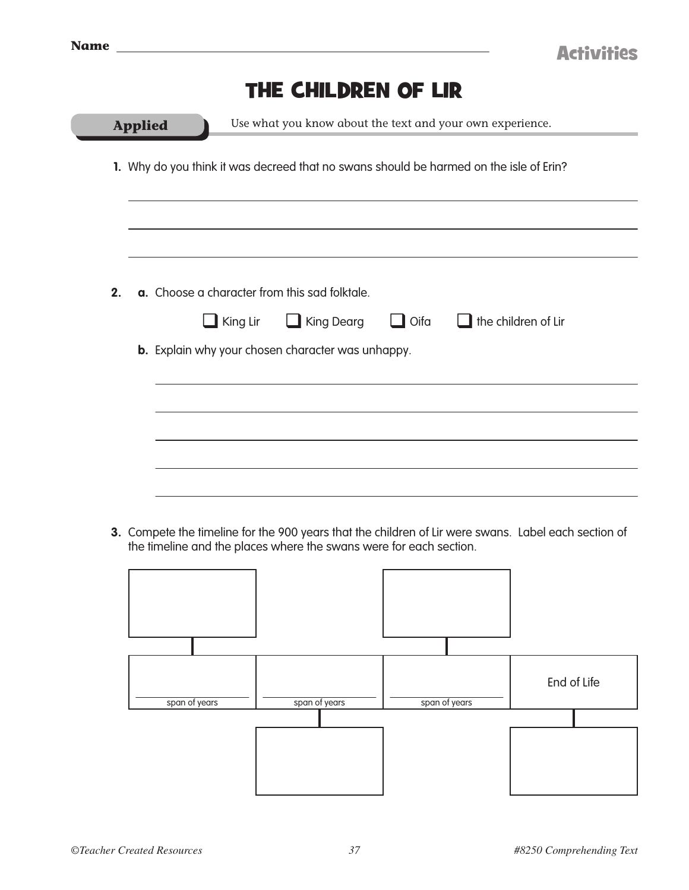| ×.<br>۰.<br>×<br>۰, |  |
|---------------------|--|
|---------------------|--|

| 2. | a. Choose a character from this sad folktale.            |                                           |
|----|----------------------------------------------------------|-------------------------------------------|
|    | $\Box$ King Dearg<br>$\Box$ King Lir                     | $\Box$ Oifa<br>$\Box$ the children of Lir |
|    | <b>b.</b> Explain why your chosen character was unhappy. |                                           |

**3.** Compete the timeline for the 900 years that the children of Lir were swans. Label each section of the timeline and the places where the swans were for each section.